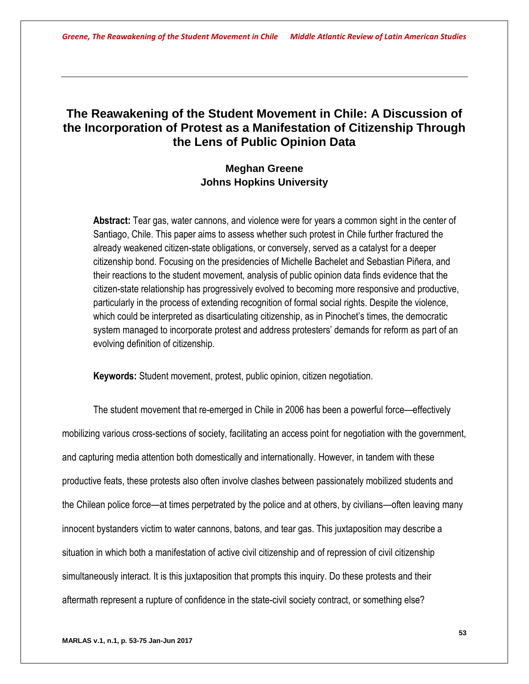# **The Reawakening of the Student Movement in Chile: A Discussion of the Incorporation of Protest as a Manifestation of Citizenship Through the Lens of Public Opinion Data**

# **Meghan Greene Johns Hopkins University**

**Abstract:** Tear gas, water cannons, and violence were for years a common sight in the center of Santiago, Chile. This paper aims to assess whether such protest in Chile further fractured the already weakened citizen-state obligations, or conversely, served as a catalyst for a deeper citizenship bond. Focusing on the presidencies of Michelle Bachelet and Sebastian Piñera, and their reactions to the student movement, analysis of public opinion data finds evidence that the citizen-state relationship has progressively evolved to becoming more responsive and productive, particularly in the process of extending recognition of formal social rights. Despite the violence, which could be interpreted as disarticulating citizenship, as in Pinochet's times, the democratic system managed to incorporate protest and address protesters' demands for reform as part of an evolving definition of citizenship.

**Keywords:** Student movement, protest, public opinion, citizen negotiation.

The student movement that re-emerged in Chile in 2006 has been a powerful force—effectively mobilizing various cross-sections of society, facilitating an access point for negotiation with the government, and capturing media attention both domestically and internationally. However, in tandem with these productive feats, these protests also often involve clashes between passionately mobilized students and the Chilean police force—at times perpetrated by the police and at others, by civilians—often leaving many innocent bystanders victim to water cannons, batons, and tear gas. This juxtaposition may describe a situation in which both a manifestation of active civil citizenship and of repression of civil citizenship simultaneously interact. It is this juxtaposition that prompts this inquiry. Do these protests and their aftermath represent a rupture of confidence in the state-civil society contract, or something else?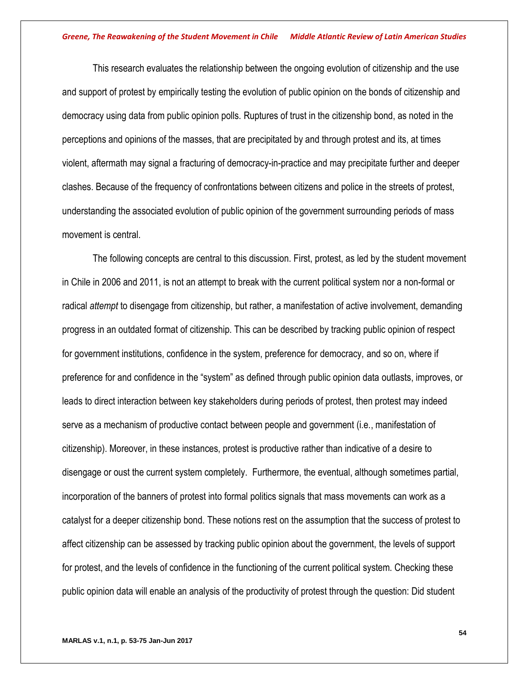This research evaluates the relationship between the ongoing evolution of citizenship and the use and support of protest by empirically testing the evolution of public opinion on the bonds of citizenship and democracy using data from public opinion polls. Ruptures of trust in the citizenship bond, as noted in the perceptions and opinions of the masses, that are precipitated by and through protest and its, at times violent, aftermath may signal a fracturing of democracy-in-practice and may precipitate further and deeper clashes. Because of the frequency of confrontations between citizens and police in the streets of protest, understanding the associated evolution of public opinion of the government surrounding periods of mass movement is central.

The following concepts are central to this discussion. First, protest, as led by the student movement in Chile in 2006 and 2011, is not an attempt to break with the current political system nor a non-formal or radical *attempt* to disengage from citizenship, but rather, a manifestation of active involvement, demanding progress in an outdated format of citizenship. This can be described by tracking public opinion of respect for government institutions, confidence in the system, preference for democracy, and so on, where if preference for and confidence in the "system" as defined through public opinion data outlasts, improves, or leads to direct interaction between key stakeholders during periods of protest, then protest may indeed serve as a mechanism of productive contact between people and government (i.e., manifestation of citizenship). Moreover, in these instances, protest is productive rather than indicative of a desire to disengage or oust the current system completely. Furthermore, the eventual, although sometimes partial, incorporation of the banners of protest into formal politics signals that mass movements can work as a catalyst for a deeper citizenship bond. These notions rest on the assumption that the success of protest to affect citizenship can be assessed by tracking public opinion about the government, the levels of support for protest, and the levels of confidence in the functioning of the current political system. Checking these public opinion data will enable an analysis of the productivity of protest through the question: Did student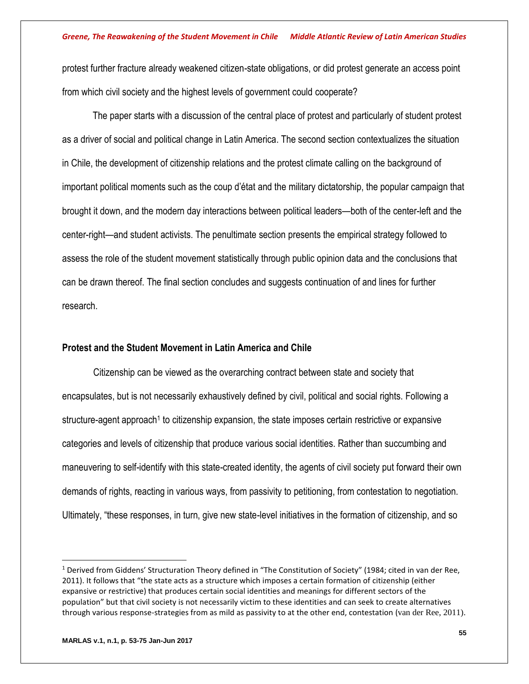protest further fracture already weakened citizen-state obligations, or did protest generate an access point from which civil society and the highest levels of government could cooperate?

The paper starts with a discussion of the central place of protest and particularly of student protest as a driver of social and political change in Latin America. The second section contextualizes the situation in Chile, the development of citizenship relations and the protest climate calling on the background of important political moments such as the coup d'état and the military dictatorship, the popular campaign that brought it down, and the modern day interactions between political leaders—both of the center-left and the center-right—and student activists. The penultimate section presents the empirical strategy followed to assess the role of the student movement statistically through public opinion data and the conclusions that can be drawn thereof. The final section concludes and suggests continuation of and lines for further research.

## **Protest and the Student Movement in Latin America and Chile**

Citizenship can be viewed as the overarching contract between state and society that encapsulates, but is not necessarily exhaustively defined by civil, political and social rights. Following a structure-agent approach<sup>1</sup> to citizenship expansion, the state imposes certain restrictive or expansive categories and levels of citizenship that produce various social identities. Rather than succumbing and maneuvering to self-identify with this state-created identity, the agents of civil society put forward their own demands of rights, reacting in various ways, from passivity to petitioning, from contestation to negotiation. Ultimately, "these responses, in turn, give new state-level initiatives in the formation of citizenship, and so

l

<sup>&</sup>lt;sup>1</sup> Derived from Giddens' Structuration Theory defined in "The Constitution of Society" (1984; cited in van der Ree, 2011). It follows that "the state acts as a structure which imposes a certain formation of citizenship (either expansive or restrictive) that produces certain social identities and meanings for different sectors of the population" but that civil society is not necessarily victim to these identities and can seek to create alternatives through various response-strategies from as mild as passivity to at the other end, contestation (van der Ree, 2011).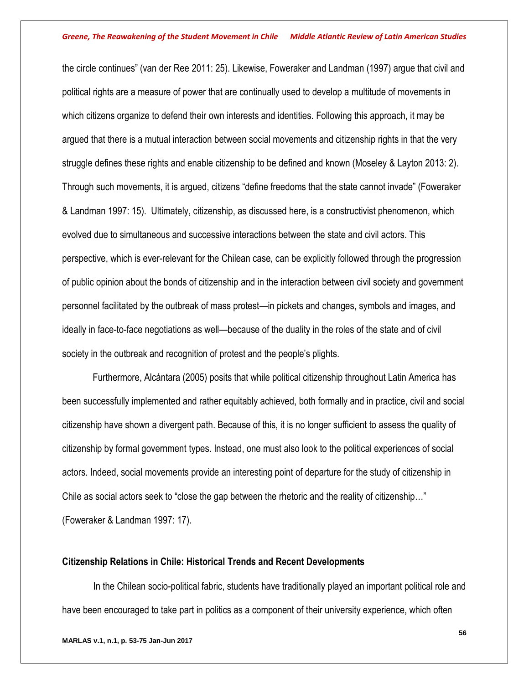the circle continues" (van der Ree 2011: 25). Likewise, Foweraker and Landman (1997) argue that civil and political rights are a measure of power that are continually used to develop a multitude of movements in which citizens organize to defend their own interests and identities. Following this approach, it may be argued that there is a mutual interaction between social movements and citizenship rights in that the very struggle defines these rights and enable citizenship to be defined and known (Moseley & Layton 2013: 2). Through such movements, it is argued, citizens "define freedoms that the state cannot invade" (Foweraker & Landman 1997: 15). Ultimately, citizenship, as discussed here, is a constructivist phenomenon, which evolved due to simultaneous and successive interactions between the state and civil actors. This perspective, which is ever-relevant for the Chilean case, can be explicitly followed through the progression of public opinion about the bonds of citizenship and in the interaction between civil society and government personnel facilitated by the outbreak of mass protest—in pickets and changes, symbols and images, and ideally in face-to-face negotiations as well—because of the duality in the roles of the state and of civil society in the outbreak and recognition of protest and the people's plights.

Furthermore, Alcántara (2005) posits that while political citizenship throughout Latin America has been successfully implemented and rather equitably achieved, both formally and in practice, civil and social citizenship have shown a divergent path. Because of this, it is no longer sufficient to assess the quality of citizenship by formal government types. Instead, one must also look to the political experiences of social actors. Indeed, social movements provide an interesting point of departure for the study of citizenship in Chile as social actors seek to "close the gap between the rhetoric and the reality of citizenship…" (Foweraker & Landman 1997: 17).

## **Citizenship Relations in Chile: Historical Trends and Recent Developments**

In the Chilean socio-political fabric, students have traditionally played an important political role and have been encouraged to take part in politics as a component of their university experience, which often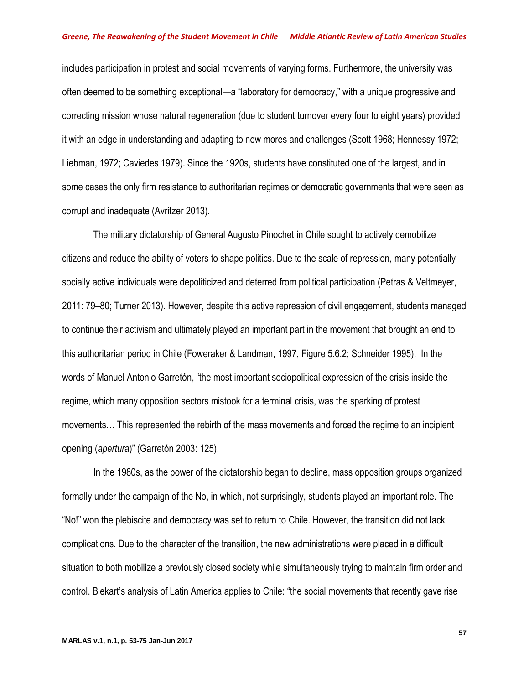includes participation in protest and social movements of varying forms. Furthermore, the university was often deemed to be something exceptional—a "laboratory for democracy," with a unique progressive and correcting mission whose natural regeneration (due to student turnover every four to eight years) provided it with an edge in understanding and adapting to new mores and challenges (Scott 1968; Hennessy 1972; Liebman, 1972; Caviedes 1979). Since the 1920s, students have constituted one of the largest, and in some cases the only firm resistance to authoritarian regimes or democratic governments that were seen as corrupt and inadequate (Avritzer 2013).

The military dictatorship of General Augusto Pinochet in Chile sought to actively demobilize citizens and reduce the ability of voters to shape politics. Due to the scale of repression, many potentially socially active individuals were depoliticized and deterred from political participation (Petras & Veltmeyer, 2011: 79–80; Turner 2013). However, despite this active repression of civil engagement, students managed to continue their activism and ultimately played an important part in the movement that brought an end to this authoritarian period in Chile (Foweraker & Landman, 1997, Figure 5.6.2; Schneider 1995). In the words of Manuel Antonio Garretón, "the most important sociopolitical expression of the crisis inside the regime, which many opposition sectors mistook for a terminal crisis, was the sparking of protest movements… This represented the rebirth of the mass movements and forced the regime to an incipient opening (*apertura*)" (Garretón 2003: 125).

In the 1980s, as the power of the dictatorship began to decline, mass opposition groups organized formally under the campaign of the No, in which, not surprisingly, students played an important role. The "No!" won the plebiscite and democracy was set to return to Chile. However, the transition did not lack complications. Due to the character of the transition, the new administrations were placed in a difficult situation to both mobilize a previously closed society while simultaneously trying to maintain firm order and control. Biekart's analysis of Latin America applies to Chile: "the social movements that recently gave rise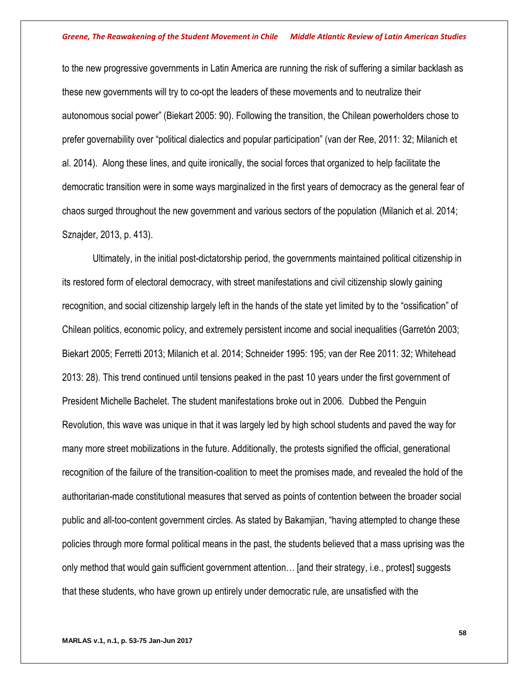to the new progressive governments in Latin America are running the risk of suffering a similar backlash as these new governments will try to co-opt the leaders of these movements and to neutralize their autonomous social power" (Biekart 2005: 90). Following the transition, the Chilean powerholders chose to prefer governability over "political dialectics and popular participation" (van der Ree, 2011: 32; Milanich et al. 2014). Along these lines, and quite ironically, the social forces that organized to help facilitate the democratic transition were in some ways marginalized in the first years of democracy as the general fear of chaos surged throughout the new government and various sectors of the population (Milanich et al. 2014; Sznajder, 2013, p. 413).

Ultimately, in the initial post-dictatorship period, the governments maintained political citizenship in its restored form of electoral democracy, with street manifestations and civil citizenship slowly gaining recognition, and social citizenship largely left in the hands of the state yet limited by to the "ossification" of Chilean politics, economic policy, and extremely persistent income and social inequalities (Garretón 2003; Biekart 2005; Ferretti 2013; Milanich et al. 2014; Schneider 1995: 195; van der Ree 2011: 32; Whitehead 2013: 28). This trend continued until tensions peaked in the past 10 years under the first government of President Michelle Bachelet. The student manifestations broke out in 2006. Dubbed the Penguin Revolution, this wave was unique in that it was largely led by high school students and paved the way for many more street mobilizations in the future. Additionally, the protests signified the official, generational recognition of the failure of the transition-coalition to meet the promises made, and revealed the hold of the authoritarian-made constitutional measures that served as points of contention between the broader social public and all-too-content government circles. As stated by Bakamjian, "having attempted to change these policies through more formal political means in the past, the students believed that a mass uprising was the only method that would gain sufficient government attention… [and their strategy, i.e., protest] suggests that these students, who have grown up entirely under democratic rule, are unsatisfied with the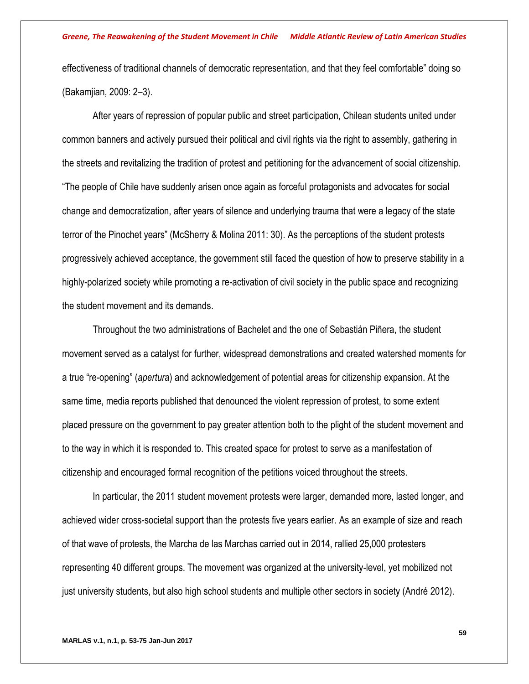effectiveness of traditional channels of democratic representation, and that they feel comfortable" doing so (Bakamjian, 2009: 2–3).

After years of repression of popular public and street participation, Chilean students united under common banners and actively pursued their political and civil rights via the right to assembly, gathering in the streets and revitalizing the tradition of protest and petitioning for the advancement of social citizenship. "The people of Chile have suddenly arisen once again as forceful protagonists and advocates for social change and democratization, after years of silence and underlying trauma that were a legacy of the state terror of the Pinochet years" (McSherry & Molina 2011: 30). As the perceptions of the student protests progressively achieved acceptance, the government still faced the question of how to preserve stability in a highly-polarized society while promoting a re-activation of civil society in the public space and recognizing the student movement and its demands.

Throughout the two administrations of Bachelet and the one of Sebastián Piñera, the student movement served as a catalyst for further, widespread demonstrations and created watershed moments for a true "re-opening" (*apertura*) and acknowledgement of potential areas for citizenship expansion. At the same time, media reports published that denounced the violent repression of protest, to some extent placed pressure on the government to pay greater attention both to the plight of the student movement and to the way in which it is responded to. This created space for protest to serve as a manifestation of citizenship and encouraged formal recognition of the petitions voiced throughout the streets.

In particular, the 2011 student movement protests were larger, demanded more, lasted longer, and achieved wider cross-societal support than the protests five years earlier. As an example of size and reach of that wave of protests, the Marcha de las Marchas carried out in 2014, rallied 25,000 protesters representing 40 different groups. The movement was organized at the university-level, yet mobilized not just university students, but also high school students and multiple other sectors in society (André 2012).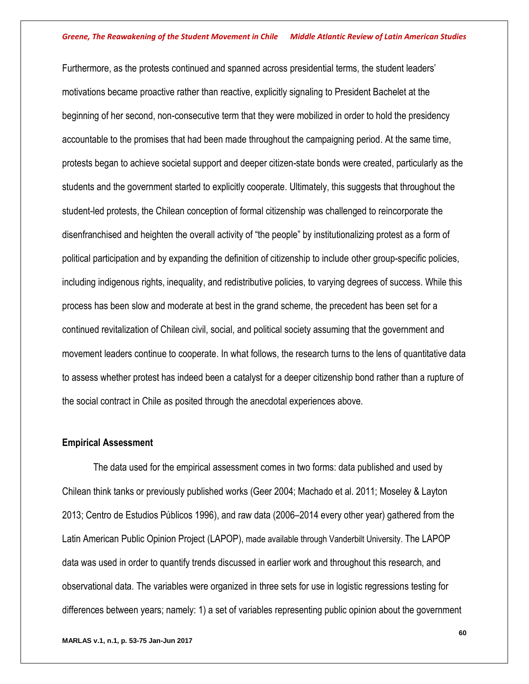Furthermore, as the protests continued and spanned across presidential terms, the student leaders' motivations became proactive rather than reactive, explicitly signaling to President Bachelet at the beginning of her second, non-consecutive term that they were mobilized in order to hold the presidency accountable to the promises that had been made throughout the campaigning period. At the same time, protests began to achieve societal support and deeper citizen-state bonds were created, particularly as the students and the government started to explicitly cooperate. Ultimately, this suggests that throughout the student-led protests, the Chilean conception of formal citizenship was challenged to reincorporate the disenfranchised and heighten the overall activity of "the people" by institutionalizing protest as a form of political participation and by expanding the definition of citizenship to include other group-specific policies, including indigenous rights, inequality, and redistributive policies, to varying degrees of success. While this process has been slow and moderate at best in the grand scheme, the precedent has been set for a continued revitalization of Chilean civil, social, and political society assuming that the government and movement leaders continue to cooperate. In what follows, the research turns to the lens of quantitative data to assess whether protest has indeed been a catalyst for a deeper citizenship bond rather than a rupture of the social contract in Chile as posited through the anecdotal experiences above.

## **Empirical Assessment**

The data used for the empirical assessment comes in two forms: data published and used by Chilean think tanks or previously published works (Geer 2004; Machado et al. 2011; Moseley & Layton 2013; Centro de Estudios Públicos 1996), and raw data (2006–2014 every other year) gathered from the Latin American Public Opinion Project (LAPOP), made available through Vanderbilt University. The LAPOP data was used in order to quantify trends discussed in earlier work and throughout this research, and observational data. The variables were organized in three sets for use in logistic regressions testing for differences between years; namely: 1) a set of variables representing public opinion about the government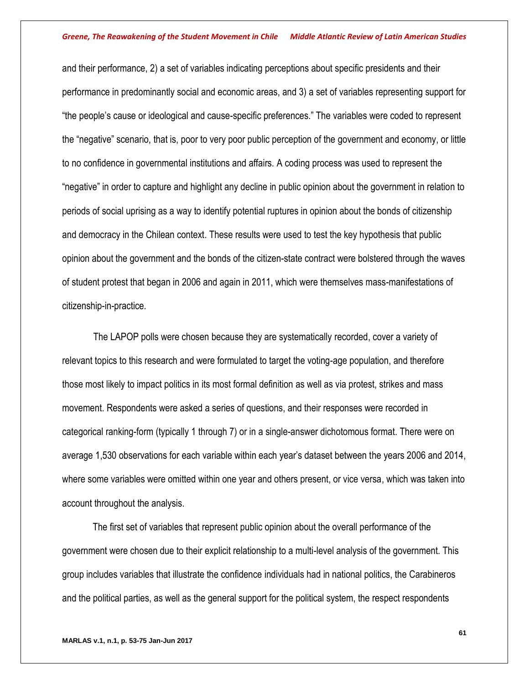and their performance, 2) a set of variables indicating perceptions about specific presidents and their performance in predominantly social and economic areas, and 3) a set of variables representing support for "the people's cause or ideological and cause-specific preferences." The variables were coded to represent the "negative" scenario, that is, poor to very poor public perception of the government and economy, or little to no confidence in governmental institutions and affairs. A coding process was used to represent the "negative" in order to capture and highlight any decline in public opinion about the government in relation to periods of social uprising as a way to identify potential ruptures in opinion about the bonds of citizenship and democracy in the Chilean context. These results were used to test the key hypothesis that public opinion about the government and the bonds of the citizen-state contract were bolstered through the waves of student protest that began in 2006 and again in 2011, which were themselves mass-manifestations of citizenship-in-practice.

The LAPOP polls were chosen because they are systematically recorded, cover a variety of relevant topics to this research and were formulated to target the voting-age population, and therefore those most likely to impact politics in its most formal definition as well as via protest, strikes and mass movement. Respondents were asked a series of questions, and their responses were recorded in categorical ranking-form (typically 1 through 7) or in a single-answer dichotomous format. There were on average 1,530 observations for each variable within each year's dataset between the years 2006 and 2014, where some variables were omitted within one year and others present, or vice versa, which was taken into account throughout the analysis.

The first set of variables that represent public opinion about the overall performance of the government were chosen due to their explicit relationship to a multi-level analysis of the government. This group includes variables that illustrate the confidence individuals had in national politics, the Carabineros and the political parties, as well as the general support for the political system, the respect respondents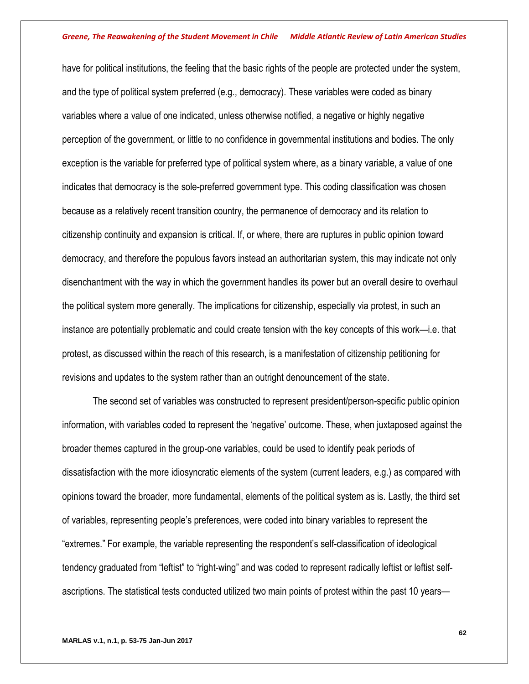have for political institutions, the feeling that the basic rights of the people are protected under the system, and the type of political system preferred (e.g., democracy). These variables were coded as binary variables where a value of one indicated, unless otherwise notified, a negative or highly negative perception of the government, or little to no confidence in governmental institutions and bodies. The only exception is the variable for preferred type of political system where, as a binary variable, a value of one indicates that democracy is the sole-preferred government type. This coding classification was chosen because as a relatively recent transition country, the permanence of democracy and its relation to citizenship continuity and expansion is critical. If, or where, there are ruptures in public opinion toward democracy, and therefore the populous favors instead an authoritarian system, this may indicate not only disenchantment with the way in which the government handles its power but an overall desire to overhaul the political system more generally. The implications for citizenship, especially via protest, in such an instance are potentially problematic and could create tension with the key concepts of this work—i.e. that protest, as discussed within the reach of this research, is a manifestation of citizenship petitioning for revisions and updates to the system rather than an outright denouncement of the state.

The second set of variables was constructed to represent president/person-specific public opinion information, with variables coded to represent the 'negative' outcome. These, when juxtaposed against the broader themes captured in the group-one variables, could be used to identify peak periods of dissatisfaction with the more idiosyncratic elements of the system (current leaders, e.g.) as compared with opinions toward the broader, more fundamental, elements of the political system as is. Lastly, the third set of variables, representing people's preferences, were coded into binary variables to represent the "extremes." For example, the variable representing the respondent's self-classification of ideological tendency graduated from "leftist" to "right-wing" and was coded to represent radically leftist or leftist selfascriptions. The statistical tests conducted utilized two main points of protest within the past 10 years—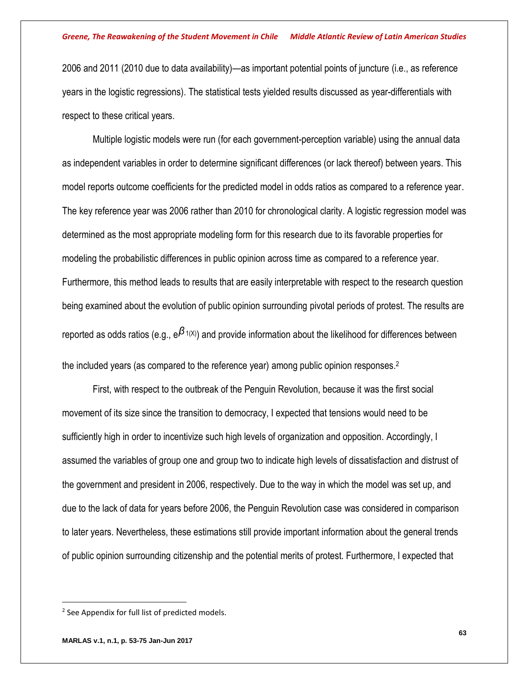2006 and 2011 (2010 due to data availability)—as important potential points of juncture (i.e., as reference years in the logistic regressions). The statistical tests yielded results discussed as year-differentials with respect to these critical years.

Multiple logistic models were run (for each government-perception variable) using the annual data as independent variables in order to determine significant differences (or lack thereof) between years. This model reports outcome coefficients for the predicted model in odds ratios as compared to a reference year. The key reference year was 2006 rather than 2010 for chronological clarity. A logistic regression model was determined as the most appropriate modeling form for this research due to its favorable properties for modeling the probabilistic differences in public opinion across time as compared to a reference year. Furthermore, this method leads to results that are easily interpretable with respect to the research question being examined about the evolution of public opinion surrounding pivotal periods of protest. The results are reported as odds ratios (e.g.,  $e^{\beta_{1(X)}}$ ) and provide information about the likelihood for differences between the included years (as compared to the reference year) among public opinion responses.<sup>2</sup>

First, with respect to the outbreak of the Penguin Revolution, because it was the first social movement of its size since the transition to democracy, I expected that tensions would need to be sufficiently high in order to incentivize such high levels of organization and opposition. Accordingly, I assumed the variables of group one and group two to indicate high levels of dissatisfaction and distrust of the government and president in 2006, respectively. Due to the way in which the model was set up, and due to the lack of data for years before 2006, the Penguin Revolution case was considered in comparison to later years. Nevertheless, these estimations still provide important information about the general trends of public opinion surrounding citizenship and the potential merits of protest. Furthermore, I expected that

 $\overline{a}$ 

<sup>&</sup>lt;sup>2</sup> See Appendix for full list of predicted models.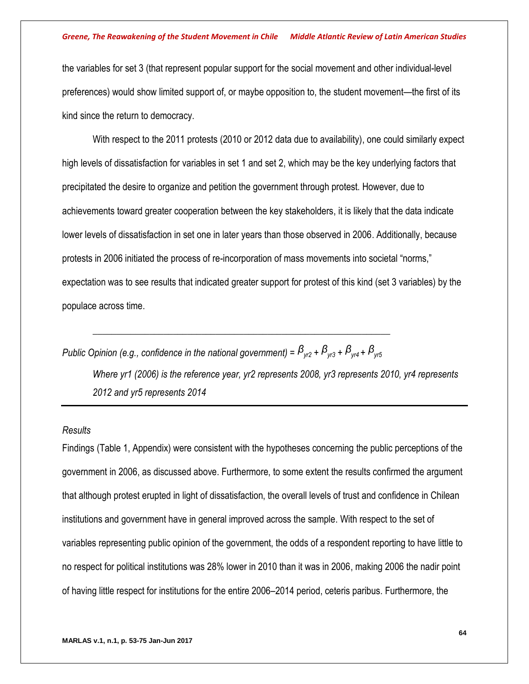the variables for set 3 (that represent popular support for the social movement and other individual-level preferences) would show limited support of, or maybe opposition to, the student movement—the first of its kind since the return to democracy.

With respect to the 2011 protests (2010 or 2012 data due to availability), one could similarly expect high levels of dissatisfaction for variables in set 1 and set 2, which may be the key underlying factors that precipitated the desire to organize and petition the government through protest. However, due to achievements toward greater cooperation between the key stakeholders, it is likely that the data indicate lower levels of dissatisfaction in set one in later years than those observed in 2006. Additionally, because protests in 2006 initiated the process of re-incorporation of mass movements into societal "norms," expectation was to see results that indicated greater support for protest of this kind (set 3 variables) by the populace across time.

*Public Opinion (e.g., confidence in the national government) =*  $\beta_{w2}$  *+*  $\beta_{w3}$  *+*  $\beta_{w4}$  *+*  $\beta_{w5}$ 

\_\_\_\_\_\_\_\_\_\_\_\_\_\_\_\_\_\_\_\_\_\_\_\_\_\_\_\_\_\_\_\_\_\_\_\_\_\_\_\_\_\_\_\_\_\_\_\_\_\_\_\_\_\_\_\_\_\_\_\_\_\_\_

*Where yr1 (2006) is the reference year, yr2 represents 2008, yr3 represents 2010, yr4 represents 2012 and yr5 represents 2014*

## *Results*

Findings (Table 1, Appendix) were consistent with the hypotheses concerning the public perceptions of the government in 2006, as discussed above. Furthermore, to some extent the results confirmed the argument that although protest erupted in light of dissatisfaction, the overall levels of trust and confidence in Chilean institutions and government have in general improved across the sample. With respect to the set of variables representing public opinion of the government, the odds of a respondent reporting to have little to no respect for political institutions was 28% lower in 2010 than it was in 2006, making 2006 the nadir point of having little respect for institutions for the entire 2006–2014 period, ceteris paribus. Furthermore, the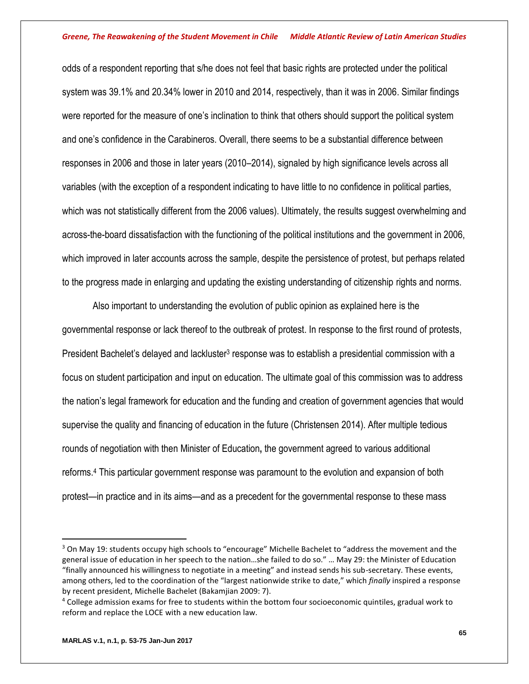odds of a respondent reporting that s/he does not feel that basic rights are protected under the political system was 39.1% and 20.34% lower in 2010 and 2014, respectively, than it was in 2006. Similar findings were reported for the measure of one's inclination to think that others should support the political system and one's confidence in the Carabineros. Overall, there seems to be a substantial difference between responses in 2006 and those in later years (2010–2014), signaled by high significance levels across all variables (with the exception of a respondent indicating to have little to no confidence in political parties, which was not statistically different from the 2006 values). Ultimately, the results suggest overwhelming and across-the-board dissatisfaction with the functioning of the political institutions and the government in 2006, which improved in later accounts across the sample, despite the persistence of protest, but perhaps related to the progress made in enlarging and updating the existing understanding of citizenship rights and norms.

Also important to understanding the evolution of public opinion as explained here is the governmental response or lack thereof to the outbreak of protest. In response to the first round of protests, President Bachelet's delayed and lackluster<sup>3</sup> response was to establish a presidential commission with a focus on student participation and input on education. The ultimate goal of this commission was to address the nation's legal framework for education and the funding and creation of government agencies that would supervise the quality and financing of education in the future (Christensen 2014). After multiple tedious rounds of negotiation with then Minister of Education**,** the government agreed to various additional reforms. <sup>4</sup> This particular government response was paramount to the evolution and expansion of both protest—in practice and in its aims—and as a precedent for the governmental response to these mass

 $\overline{a}$ 

<sup>&</sup>lt;sup>3</sup> On May 19: students occupy high schools to "encourage" Michelle Bachelet to "address the movement and the general issue of education in her speech to the nation…she failed to do so." … May 29: the Minister of Education "finally announced his willingness to negotiate in a meeting" and instead sends his sub-secretary. These events, among others, led to the coordination of the "largest nationwide strike to date," which *finally* inspired a response by recent president, Michelle Bachelet (Bakamjian 2009: 7).

<sup>4</sup> College admission exams for free to students within the bottom four socioeconomic quintiles, gradual work to reform and replace the LOCE with a new education law.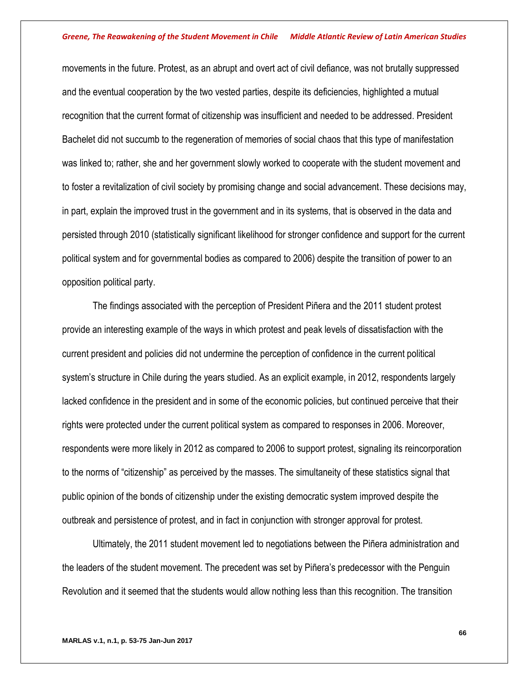movements in the future. Protest, as an abrupt and overt act of civil defiance, was not brutally suppressed and the eventual cooperation by the two vested parties, despite its deficiencies, highlighted a mutual recognition that the current format of citizenship was insufficient and needed to be addressed. President Bachelet did not succumb to the regeneration of memories of social chaos that this type of manifestation was linked to; rather, she and her government slowly worked to cooperate with the student movement and to foster a revitalization of civil society by promising change and social advancement. These decisions may, in part, explain the improved trust in the government and in its systems, that is observed in the data and persisted through 2010 (statistically significant likelihood for stronger confidence and support for the current political system and for governmental bodies as compared to 2006) despite the transition of power to an opposition political party.

The findings associated with the perception of President Piñera and the 2011 student protest provide an interesting example of the ways in which protest and peak levels of dissatisfaction with the current president and policies did not undermine the perception of confidence in the current political system's structure in Chile during the years studied. As an explicit example, in 2012, respondents largely lacked confidence in the president and in some of the economic policies, but continued perceive that their rights were protected under the current political system as compared to responses in 2006. Moreover, respondents were more likely in 2012 as compared to 2006 to support protest, signaling its reincorporation to the norms of "citizenship" as perceived by the masses. The simultaneity of these statistics signal that public opinion of the bonds of citizenship under the existing democratic system improved despite the outbreak and persistence of protest, and in fact in conjunction with stronger approval for protest.

Ultimately, the 2011 student movement led to negotiations between the Piñera administration and the leaders of the student movement. The precedent was set by Piñera's predecessor with the Penguin Revolution and it seemed that the students would allow nothing less than this recognition. The transition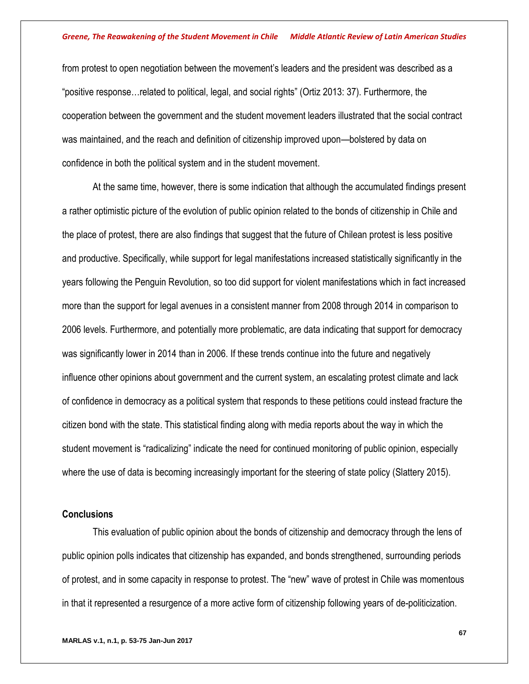from protest to open negotiation between the movement's leaders and the president was described as a "positive response…related to political, legal, and social rights" (Ortiz 2013: 37). Furthermore, the cooperation between the government and the student movement leaders illustrated that the social contract was maintained, and the reach and definition of citizenship improved upon—bolstered by data on confidence in both the political system and in the student movement.

At the same time, however, there is some indication that although the accumulated findings present a rather optimistic picture of the evolution of public opinion related to the bonds of citizenship in Chile and the place of protest, there are also findings that suggest that the future of Chilean protest is less positive and productive. Specifically, while support for legal manifestations increased statistically significantly in the years following the Penguin Revolution, so too did support for violent manifestations which in fact increased more than the support for legal avenues in a consistent manner from 2008 through 2014 in comparison to 2006 levels. Furthermore, and potentially more problematic, are data indicating that support for democracy was significantly lower in 2014 than in 2006. If these trends continue into the future and negatively influence other opinions about government and the current system, an escalating protest climate and lack of confidence in democracy as a political system that responds to these petitions could instead fracture the citizen bond with the state. This statistical finding along with media reports about the way in which the student movement is "radicalizing" indicate the need for continued monitoring of public opinion, especially where the use of data is becoming increasingly important for the steering of state policy (Slattery 2015).

## **Conclusions**

This evaluation of public opinion about the bonds of citizenship and democracy through the lens of public opinion polls indicates that citizenship has expanded, and bonds strengthened, surrounding periods of protest, and in some capacity in response to protest. The "new" wave of protest in Chile was momentous in that it represented a resurgence of a more active form of citizenship following years of de-politicization.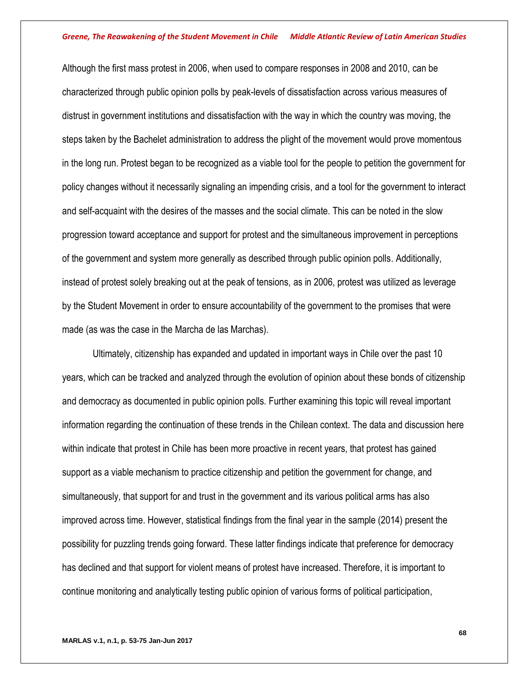Although the first mass protest in 2006, when used to compare responses in 2008 and 2010, can be characterized through public opinion polls by peak-levels of dissatisfaction across various measures of distrust in government institutions and dissatisfaction with the way in which the country was moving, the steps taken by the Bachelet administration to address the plight of the movement would prove momentous in the long run. Protest began to be recognized as a viable tool for the people to petition the government for policy changes without it necessarily signaling an impending crisis, and a tool for the government to interact and self-acquaint with the desires of the masses and the social climate. This can be noted in the slow progression toward acceptance and support for protest and the simultaneous improvement in perceptions of the government and system more generally as described through public opinion polls. Additionally, instead of protest solely breaking out at the peak of tensions, as in 2006, protest was utilized as leverage by the Student Movement in order to ensure accountability of the government to the promises that were made (as was the case in the Marcha de las Marchas).

Ultimately, citizenship has expanded and updated in important ways in Chile over the past 10 years, which can be tracked and analyzed through the evolution of opinion about these bonds of citizenship and democracy as documented in public opinion polls*.* Further examining this topic will reveal important information regarding the continuation of these trends in the Chilean context. The data and discussion here within indicate that protest in Chile has been more proactive in recent years, that protest has gained support as a viable mechanism to practice citizenship and petition the government for change, and simultaneously, that support for and trust in the government and its various political arms has also improved across time. However, statistical findings from the final year in the sample (2014) present the possibility for puzzling trends going forward. These latter findings indicate that preference for democracy has declined and that support for violent means of protest have increased. Therefore, it is important to continue monitoring and analytically testing public opinion of various forms of political participation,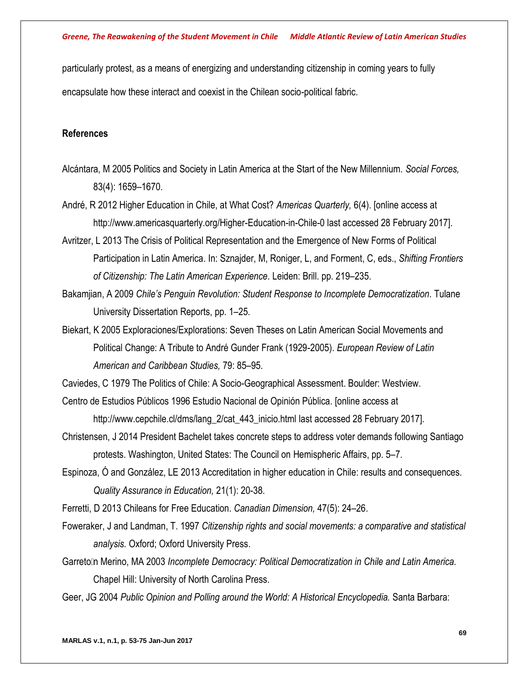particularly protest, as a means of energizing and understanding citizenship in coming years to fully encapsulate how these interact and coexist in the Chilean socio-political fabric.

## **References**

- Alcántara, M 2005 Politics and Society in Latin America at the Start of the New Millennium. *Social Forces,* 83(4): 1659–1670.
- André, R 2012 Higher Education in Chile, at What Cost? *Americas Quarterly,* 6(4). [online access at http://www.americasquarterly.org/Higher-Education-in-Chile-0 last accessed 28 February 2017].
- Avritzer, L 2013 The Crisis of Political Representation and the Emergence of New Forms of Political Participation in Latin America. In: Sznajder, M, Roniger, L, and Forment, C, eds., *Shifting Frontiers of Citizenship: The Latin American Experience.* Leiden: Brill. pp. 219–235.
- Bakamjian, A 2009 *Chile's Penguin Revolution: Student Response to Incomplete Democratization.* Tulane University Dissertation Reports, pp. 1–25.
- Biekart, K 2005 Exploraciones/Explorations: Seven Theses on Latin American Social Movements and Political Change: A Tribute to André Gunder Frank (1929-2005). *European Review of Latin American and Caribbean Studies,* 79: 85–95.

Caviedes, C 1979 The Politics of Chile: A Socio-Geographical Assessment. Boulder: Westview.

- Centro de Estudios Públicos 1996 Estudio Nacional de Opinión Pública. [online access at http://www.cepchile.cl/dms/lang\_2/cat\_443\_inicio.html last accessed 28 February 2017].
- Christensen, J 2014 President Bachelet takes concrete steps to address voter demands following Santiago protests. Washington, United States: The Council on Hemispheric Affairs, pp. 5–7.
- Espinoza, Ó and González, LE 2013 Accreditation in higher education in Chile: results and consequences. *Quality Assurance in Education,* 21(1): 20-38.

Ferretti, D 2013 Chileans for Free Education. *Canadian Dimension,* 47(5): 24–26.

- Foweraker, J and Landman, T. 1997 *Citizenship rights and social movements: a comparative and statistical analysis.* Oxford; Oxford University Press.
- Garretolln Merino, MA 2003 *Incomplete Democracy: Political Democratization in Chile and Latin America.* Chapel Hill: University of North Carolina Press.
- Geer, JG 2004 *Public Opinion and Polling around the World: A Historical Encyclopedia.* Santa Barbara: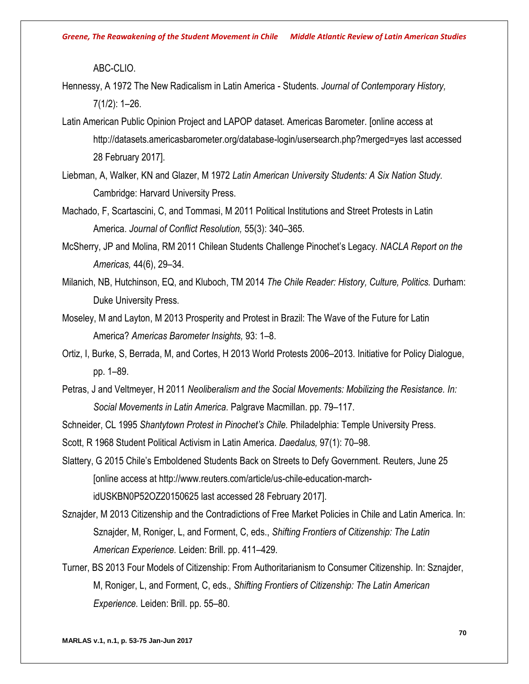ABC-CLIO.

- Hennessy, A 1972 The New Radicalism in Latin America Students. *Journal of Contemporary History,* 7(1/2): 1–26.
- Latin American Public Opinion Project and LAPOP dataset. Americas Barometer. [online access at http://datasets.americasbarometer.org/database-login/usersearch.php?merged=yes last accessed 28 February 2017].
- Liebman, A, Walker, KN and Glazer, M 1972 *Latin American University Students: A Six Nation Study.* Cambridge: Harvard University Press.
- Machado, F, Scartascini, C, and Tommasi, M 2011 Political Institutions and Street Protests in Latin America. *Journal of Conflict Resolution,* 55(3): 340–365.
- McSherry, JP and Molina, RM 2011 Chilean Students Challenge Pinochet's Legacy. *NACLA Report on the Americas,* 44(6), 29–34.
- Milanich, NB, Hutchinson, EQ, and Kluboch, TM 2014 *The Chile Reader: History, Culture, Politics.* Durham: Duke University Press.
- Moseley, M and Layton, M 2013 Prosperity and Protest in Brazil: The Wave of the Future for Latin America? *Americas Barometer Insights,* 93: 1–8.
- Ortiz, I, Burke, S, Berrada, M, and Cortes, H 2013 World Protests 2006–2013. Initiative for Policy Dialogue, pp. 1–89.
- Petras, J and Veltmeyer, H 2011 *Neoliberalism and the Social Movements: Mobilizing the Resistance. In: Social Movements in Latin America.* Palgrave Macmillan. pp. 79–117.

Schneider, CL 1995 *Shantytown Protest in Pinochet's Chile.* Philadelphia: Temple University Press.

Scott, R 1968 Student Political Activism in Latin America. *Daedalus,* 97(1): 70–98.

- Slattery, G 2015 Chile's Emboldened Students Back on Streets to Defy Government. Reuters, June 25 [online access at http://www.reuters.com/article/us-chile-education-marchidUSKBN0P52OZ20150625 last accessed 28 February 2017].
- Sznajder, M 2013 Citizenship and the Contradictions of Free Market Policies in Chile and Latin America. In: Sznajder, M, Roniger, L, and Forment, C, eds., *Shifting Frontiers of Citizenship: The Latin American Experience.* Leiden: Brill. pp. 411–429.
- Turner, BS 2013 Four Models of Citizenship: From Authoritarianism to Consumer Citizenship. In: Sznajder, M, Roniger, L, and Forment, C, eds., *Shifting Frontiers of Citizenship: The Latin American Experience.* Leiden: Brill. pp. 55–80.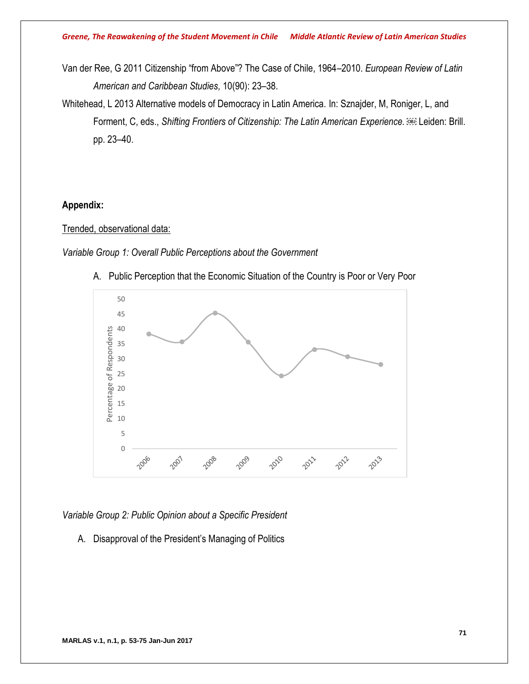- Van der Ree, G 2011 Citizenship "from Above"? The Case of Chile, 1964–2010. *European Review of Latin American and Caribbean Studies,* 10(90): 23–38.
- Whitehead, L 2013 Alternative models of Democracy in Latin America. In: Sznajder, M, Roniger, L, and Forment, C, eds., *Shifting Frontiers of Citizenship: The Latin American Experience. BBB* Leiden: Brill. pp. 23–40.

## **Appendix:**

## Trended, observational data:

*Variable Group 1: Overall Public Perceptions about the Government*



A. Public Perception that the Economic Situation of the Country is Poor or Very Poor

*Variable Group 2: Public Opinion about a Specific President*

A. Disapproval of the President's Managing of Politics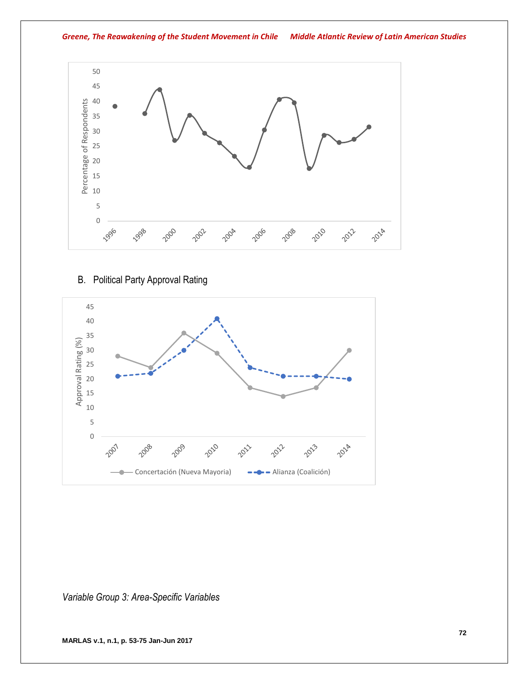

## B. Political Party Approval Rating



*Variable Group 3: Area-Specific Variables*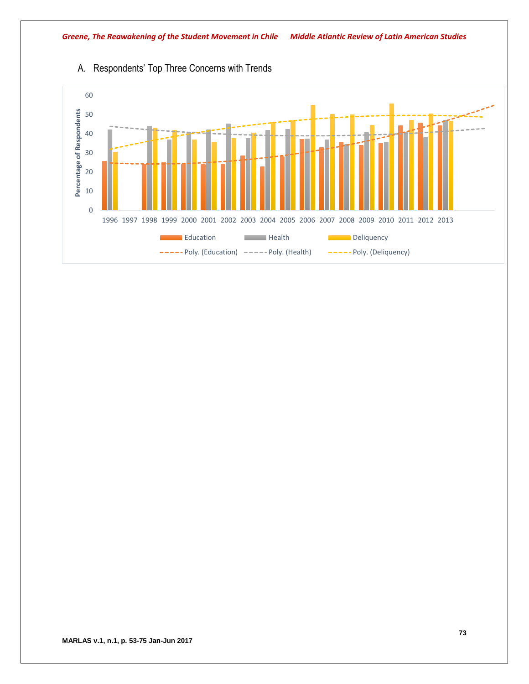

# A. Respondents' Top Three Concerns with Trends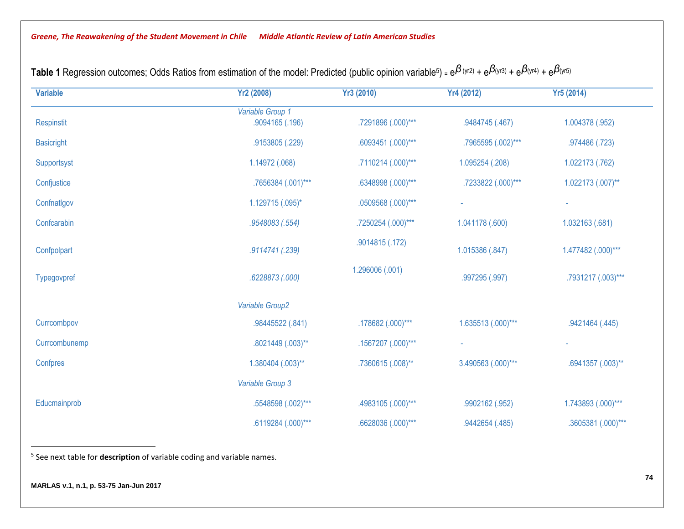| <b>Variable</b>   | <b>Yr2 (2008)</b>                   | <b>Yr3 (2010)</b>       | Yr4 (2012)         | <b>Yr5 (2014)</b>      |
|-------------------|-------------------------------------|-------------------------|--------------------|------------------------|
| Respinstit        | Variable Group 1<br>.9094165 (.196) | .7291896 (.000)***      | .9484745 (.467)    | 1.004378 (.952)        |
| <b>Basicright</b> | .9153805 (.229)                     | .6093451 (.000)***      | .7965595 (.002)*** | .974486 (.723)         |
| Supportsyst       | 1.14972 (.068)                      | .7110214 (.000)***      | 1.095254 (.208)    | 1.022173 (.762)        |
| Confjustice       | .7656384 (.001)***                  | .6348998 (.000)***      | .7233822 (.000)*** | $1.022173$ $(.007)$ ** |
| Confnatlgov       | 1.129715 (.095)*                    | .0509568 (.000)***      |                    |                        |
| Confcarabin       | .9548083 (.554)                     | .7250254 (.000)***      | 1.041178 (.600)    | 1.032163 (.681)        |
| Confpolpart       | .9114741 (.239)                     | .9014815 (.172)         | 1.015386 (.847)    | 1.477482 (.000)***     |
| Typegovpref       | .6228873 (.000)                     | 1.296006 (.001)         | .997295 (.997)     | .7931217 (.003)***     |
|                   | Variable Group2                     |                         |                    |                        |
| Currcombpov       | .98445522 (.841)                    | $.178682$ $(.000)$ ***  | 1.635513 (.000)*** | .9421464 (.445)        |
| Currcombunemp     | .8021449 (.003)**                   | $.1567207$ $(.000)$ *** |                    |                        |
| Confpres          | 1.380404 (.003)**                   | .7360615 (.008)**       | 3.490563 (.000)*** | .6941357 (.003)**      |
|                   | Variable Group 3                    |                         |                    |                        |
| Educmainprob      | .5548598 (.002)***                  | .4983105 (.000)***      | .9902162 (.952)    | 1.743893 (.000)***     |
|                   | .6119284 (.000)***                  | .6628036 (.000)***      | .9442654 (.485)    | .3605381 (.000)***     |

**Table 1** Regression outcomes; Odds Ratios from estimation of the model: Predicted (public opinion variable<sup>5</sup>) = e $\beta$ (yr2) + e $\beta$ (yr3) + e $\beta$ (yr4) + e $\beta$ (yr5)

5 See next table for **description** of variable coding and variable names.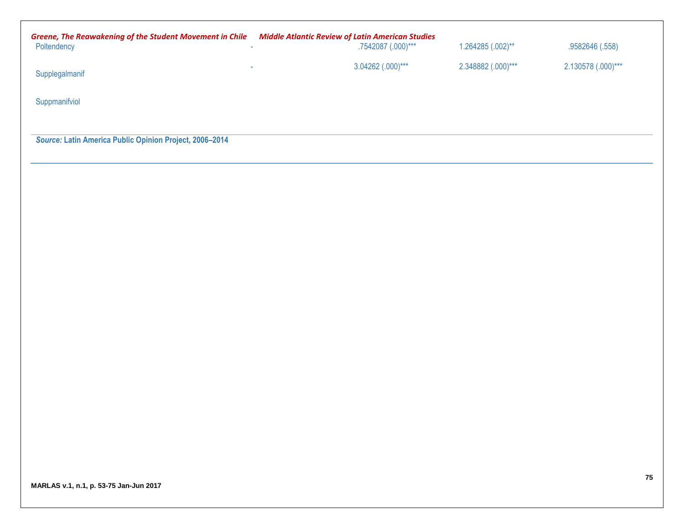| <b>Greene, The Reawakening of the Student Movement in Chile</b><br>Poltendency<br>$\sim$ | <b>Middle Atlantic Review of Latin American Studies</b><br>.7542087 (.000)*** | $1.264285$ $(.002)$ ** | .9582646 (.558)    |
|------------------------------------------------------------------------------------------|-------------------------------------------------------------------------------|------------------------|--------------------|
| -<br>Supplegalmanif                                                                      | 3.04262 (.000)***                                                             | 2.348882 (.000)***     | 2.130578 (.000)*** |
| Suppmanifviol                                                                            |                                                                               |                        |                    |
|                                                                                          |                                                                               |                        |                    |

*Source:* **Latin America Public Opinion Project, 2006–2014**